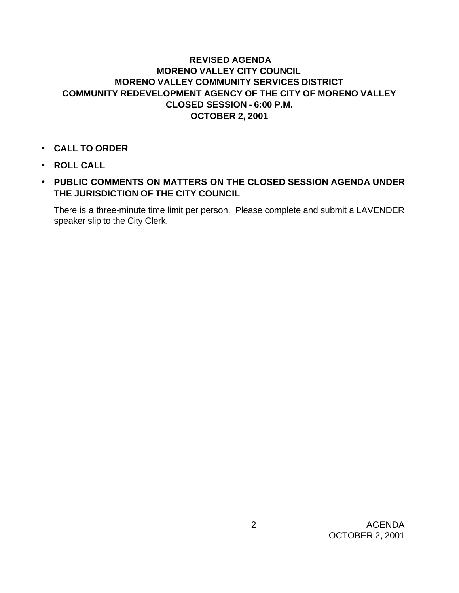## **REVISED AGENDA MORENO VALLEY CITY COUNCIL MORENO VALLEY COMMUNITY SERVICES DISTRICT COMMUNITY REDEVELOPMENT AGENCY OF THE CITY OF MORENO VALLEY CLOSED SESSION - 6:00 P.M. OCTOBER 2, 2001**

- **CALL TO ORDER**
- **ROLL CALL**
- **PUBLIC COMMENTS ON MATTERS ON THE CLOSED SESSION AGENDA UNDER THE JURISDICTION OF THE CITY COUNCIL**

There is a three-minute time limit per person. Please complete and submit a LAVENDER speaker slip to the City Clerk.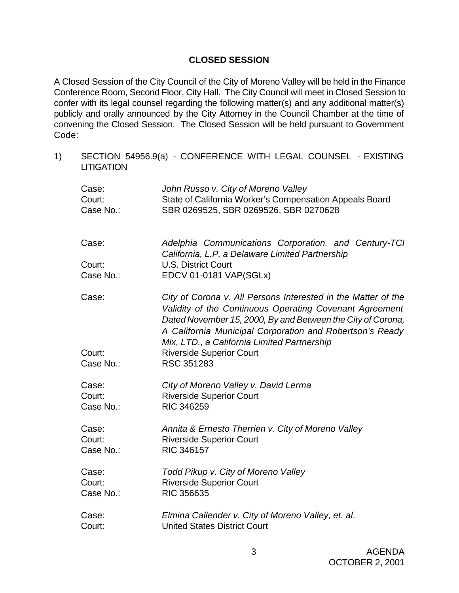## **CLOSED SESSION**

A Closed Session of the City Council of the City of Moreno Valley will be held in the Finance Conference Room, Second Floor, City Hall. The City Council will meet in Closed Session to confer with its legal counsel regarding the following matter(s) and any additional matter(s) publicly and orally announced by the City Attorney in the Council Chamber at the time of convening the Closed Session. The Closed Session will be held pursuant to Government Code:

1) SECTION 54956.9(a) - CONFERENCE WITH LEGAL COUNSEL - EXISTING **LITIGATION** 

| Case:           | John Russo v. City of Moreno Valley                                                                                                                                                                                                                                                                |
|-----------------|----------------------------------------------------------------------------------------------------------------------------------------------------------------------------------------------------------------------------------------------------------------------------------------------------|
| Court:          | State of California Worker's Compensation Appeals Board                                                                                                                                                                                                                                            |
| Case No.:       | SBR 0269525, SBR 0269526, SBR 0270628                                                                                                                                                                                                                                                              |
| Case:           | Adelphia Communications Corporation, and Century-TCI<br>California, L.P. a Delaware Limited Partnership                                                                                                                                                                                            |
| Court:          | <b>U.S. District Court</b>                                                                                                                                                                                                                                                                         |
| Case No.:       | EDCV 01-0181 VAP(SGLx)                                                                                                                                                                                                                                                                             |
| Case:<br>Court: | City of Corona v. All Persons Interested in the Matter of the<br>Validity of the Continuous Operating Covenant Agreement<br>Dated November 15, 2000, By and Between the City of Corona,<br>A California Municipal Corporation and Robertson's Ready<br>Mix, LTD., a California Limited Partnership |
| Case No.:       | <b>Riverside Superior Court</b><br>RSC 351283                                                                                                                                                                                                                                                      |
| Case:           | City of Moreno Valley v. David Lerma                                                                                                                                                                                                                                                               |
| Court:          | <b>Riverside Superior Court</b>                                                                                                                                                                                                                                                                    |
| Case No.:       | <b>RIC 346259</b>                                                                                                                                                                                                                                                                                  |
| Case:           | Annita & Ernesto Therrien v. City of Moreno Valley                                                                                                                                                                                                                                                 |
| Court:          | <b>Riverside Superior Court</b>                                                                                                                                                                                                                                                                    |
| Case No.:       | RIC 346157                                                                                                                                                                                                                                                                                         |
| Case:           | Todd Pikup v. City of Moreno Valley                                                                                                                                                                                                                                                                |
| Court:          | <b>Riverside Superior Court</b>                                                                                                                                                                                                                                                                    |
| Case No.:       | <b>RIC 356635</b>                                                                                                                                                                                                                                                                                  |
| Case:           | Elmina Callender v. City of Moreno Valley, et. al.                                                                                                                                                                                                                                                 |
| Court:          | <b>United States District Court</b>                                                                                                                                                                                                                                                                |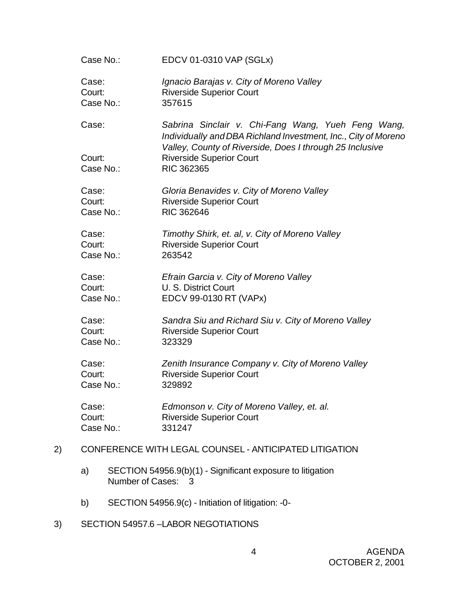|    | Case No.:                                              | EDCV 01-0310 VAP (SGLx)                                                                                                                                                                                                           |
|----|--------------------------------------------------------|-----------------------------------------------------------------------------------------------------------------------------------------------------------------------------------------------------------------------------------|
|    | Case:<br>Court:<br>Case No.:                           | Ignacio Barajas v. City of Moreno Valley<br><b>Riverside Superior Court</b><br>357615                                                                                                                                             |
|    | Case:<br>Court:<br>Case No.:                           | Sabrina Sinclair v. Chi-Fang Wang, Yueh Feng Wang,<br>Individually and DBA Richland Investment, Inc., City of Moreno<br>Valley, County of Riverside, Does I through 25 Inclusive<br><b>Riverside Superior Court</b><br>RIC 362365 |
|    | Case:<br>Court:<br>Case No.:                           | Gloria Benavides v. City of Moreno Valley<br><b>Riverside Superior Court</b><br>RIC 362646                                                                                                                                        |
|    | Case:<br>Court:<br>Case No.:                           | Timothy Shirk, et. al, v. City of Moreno Valley<br><b>Riverside Superior Court</b><br>263542                                                                                                                                      |
|    | Case:<br>Court:<br>Case No.:                           | Efrain Garcia v. City of Moreno Valley<br>U. S. District Court<br>EDCV 99-0130 RT (VAPx)                                                                                                                                          |
|    | Case:<br>Court:<br>Case No.:                           | Sandra Siu and Richard Siu v. City of Moreno Valley<br><b>Riverside Superior Court</b><br>323329                                                                                                                                  |
|    | Case:<br>Court:<br>Case No.:                           | Zenith Insurance Company v. City of Moreno Valley<br><b>Riverside Superior Court</b><br>329892                                                                                                                                    |
|    | Case:<br>Court:<br>Case No.:                           | Edmonson v. City of Moreno Valley, et. al.<br><b>Riverside Superior Court</b><br>331247                                                                                                                                           |
| 2) | CONFERENCE WITH LEGAL COUNSEL - ANTICIPATED LITIGATION |                                                                                                                                                                                                                                   |

- a) SECTION 54956.9(b)(1) Significant exposure to litigation Number of Cases: 3
- b) SECTION 54956.9(c) Initiation of litigation: -0-
- 3) SECTION 54957.6 –LABOR NEGOTIATIONS